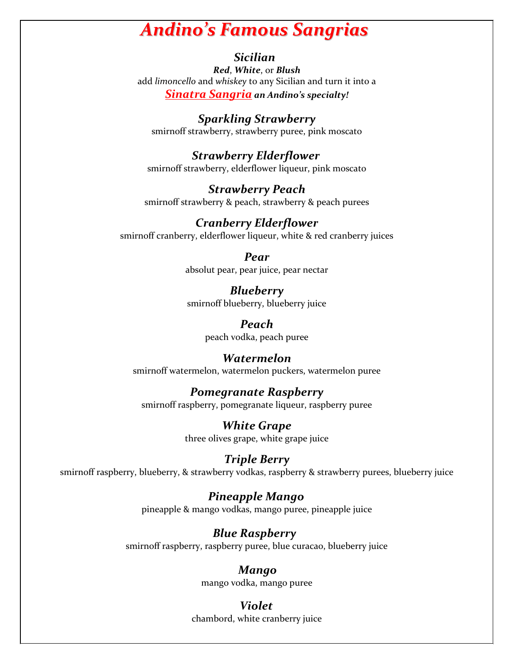# *Andino's Famous Sangrias*

### *Sicilian*

*Red*, *White*, or *Blush* add *limoncello* and *whiskey* to any Sicilian and turn it into a *Sinatra Sangria an Andino's specialty!*

 *Sparkling Strawberry* smirnoff strawberry, strawberry puree, pink moscato

 *Strawberry Elderflower* smirnoff strawberry, elderflower liqueur, pink moscato

*Strawberry Peach* smirnoff strawberry & peach, strawberry & peach purees

*Cranberry Elderflower* smirnoff cranberry, elderflower liqueur, white & red cranberry juices

> *Pear* absolut pear, pear juice, pear nectar

> *Blueberry* smirnoff blueberry, blueberry juice

> > *Peach* peach vodka, peach puree

### *Watermelon*

smirnoff watermelon, watermelon puckers, watermelon puree

# *Pomegranate Raspberry*

smirnoff raspberry, pomegranate liqueur, raspberry puree

*White Grape* three olives grape, white grape juice

*Triple Berry* smirnoff raspberry, blueberry, & strawberry vodkas, raspberry & strawberry purees, blueberry juice

> *Pineapple Mango* pineapple & mango vodkas, mango puree, pineapple juice

 *Blue Raspberry* smirnoff raspberry, raspberry puree, blue curacao, blueberry juice

> *Mango* mango vodka, mango puree

 *Violet* chambord, white cranberry juice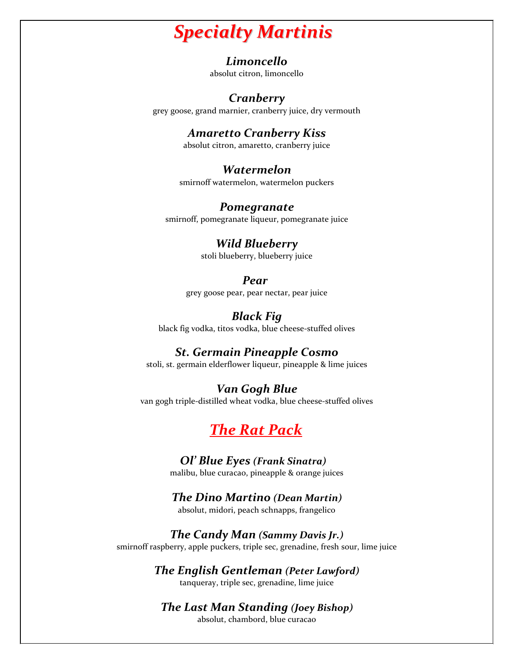# *Specialty Martinis*

#### *Limoncello*

absolut citron, limoncello

## *Cranberry*

grey goose, grand marnier, cranberry juice, dry vermouth

# *Amaretto Cranberry Kiss*

absolut citron, amaretto, cranberry juice

## *Watermelon*

smirnoff watermelon, watermelon puckers

#### *Pomegranate*

smirnoff, pomegranate liqueur, pomegranate juice

#### *Wild Blueberry*

stoli blueberry, blueberry juice

## *Pear Pear*

grey goose pear, pear nectar, pear juice

## *Black Fig*

black fig vodka, titos vodka, blue cheese-stuffed olives

# *St. Germain Pineapple Cosmo*

stoli, st. germain elderflower liqueur, pineapple & lime juices

## *Van Gogh Blue*

van gogh triple-distilled wheat vodka, blue cheese-stuffed olives

# *The Rat Pack*

#### *Ol' Blue Eyes (Frank Sinatra)*

malibu, blue curacao, pineapple & orange juices

#### *The Dino Martino (Dean Martin)*

absolut, midori, peach schnapps, frangelico

#### *The Candy Man (Sammy Davis Jr.)*

smirnoff raspberry, apple puckers, triple sec, grenadine, fresh sour, lime juice

### *The English Gentleman (Peter Lawford)*

tanqueray, triple sec, grenadine, lime juice

## *The Last Man Standing (Joey Bishop)*

absolut, chambord, blue curacao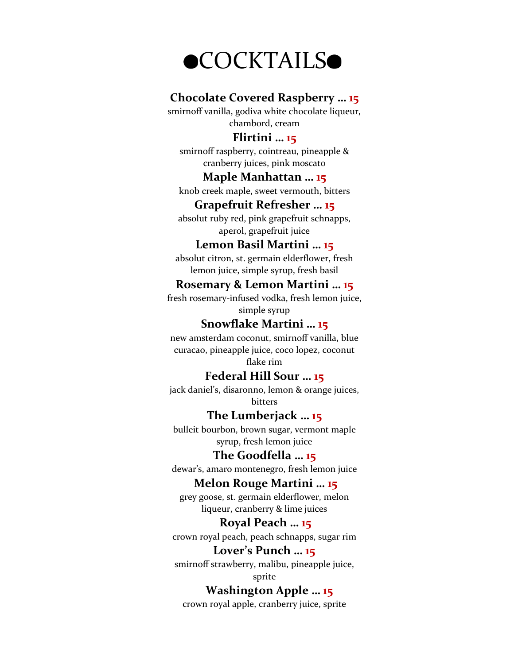

#### **Chocolate Covered Raspberry … 15**

smirnoff vanilla, godiva white chocolate liqueur, chambord, cream

### **Flirtini … 15**

smirnoff raspberry, cointreau, pineapple & cranberry juices, pink moscato

#### **Maple Manhattan … 15**

knob creek maple, sweet vermouth, bitters

#### **Grapefruit Refresher … 15**

absolut ruby red, pink grapefruit schnapps, aperol, grapefruit juice

#### **Lemon Basil Martini … 15**

absolut citron, st. germain elderflower, fresh lemon juice, simple syrup, fresh basil

#### **Rosemary & Lemon Martini … 15**

fresh rosemary-infused vodka, fresh lemon juice, simple syrup

### **Snowflake Martini … 15**

new amsterdam coconut, smirnoff vanilla, blue curacao, pineapple juice, coco lopez, coconut

flake rim

#### **Federal Hill Sour … 15**

jack daniel's, disaronno, lemon & orange juices, bitters

#### **The Lumberjack … 15**

bulleit bourbon, brown sugar, vermont maple syrup, fresh lemon juice

#### **The Goodfella … 15**

dewar's, amaro montenegro, fresh lemon juice

#### **Melon Rouge Martini … 15**

grey goose, st. germain elderflower, melon liqueur, cranberry & lime juices

## **Royal Peach … 15**

crown royal peach, peach schnapps, sugar rim

#### **Lover's Punch … 15**

smirnoff strawberry, malibu, pineapple juice, sprite

### **Washington Apple … 15**

crown royal apple, cranberry juice, sprite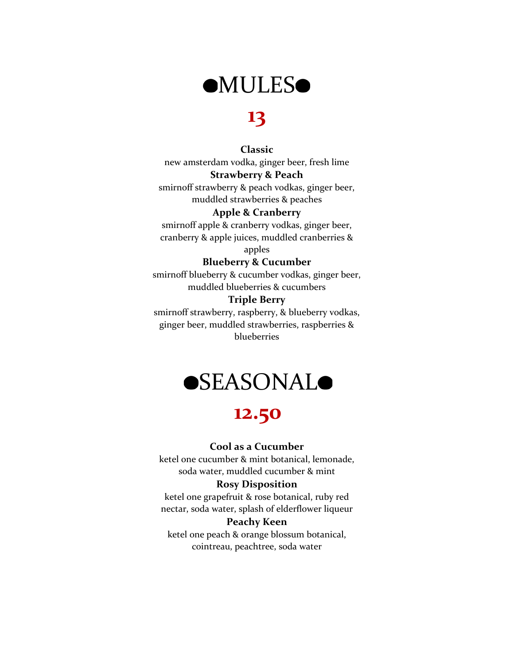

# **13**

#### **Classic**

new amsterdam vodka, ginger beer, fresh lime

#### **Strawberry & Peach**

smirnoff strawberry & peach vodkas, ginger beer, muddled strawberries & peaches

#### **Apple & Cranberry**

smirnoff apple & cranberry vodkas, ginger beer, cranberry & apple juices, muddled cranberries &

apples

#### **Blueberry & Cucumber**

smirnoff blueberry & cucumber vodkas, ginger beer, muddled blueberries & cucumbers

#### **Triple Berry**

smirnoff strawberry, raspberry, & blueberry vodkas, ginger beer, muddled strawberries, raspberries & blueberries



# **12.50**

#### **Cool as a Cucumber**

ketel one cucumber & mint botanical, lemonade, soda water, muddled cucumber & mint

#### **Rosy Disposition**

ketel one grapefruit & rose botanical, ruby red nectar, soda water, splash of elderflower liqueur

#### **Peachy Keen**

ketel one peach & orange blossum botanical, cointreau, peachtree, soda water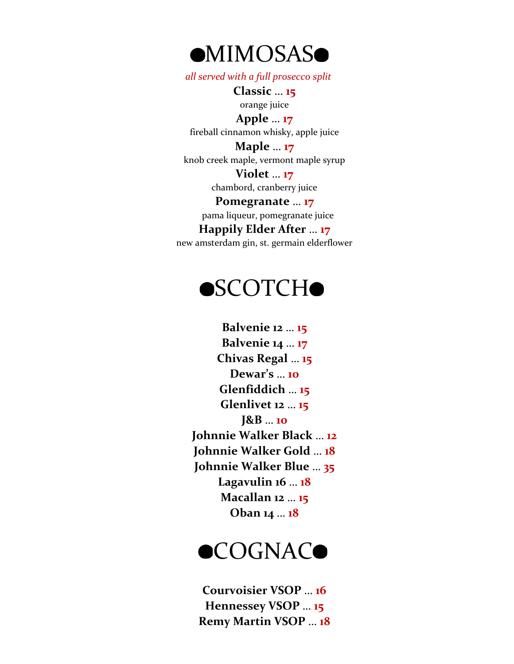

 *all served with a full prosecco split*

**Classic** … **15** orange juice

**Apple** … **17** fireball cinnamon whisky, apple juice

**Maple** … **17** knob creek maple, vermont maple syrup

> **Violet** … **17** chambord, cranberry juice

**Pomegranate** … **17** pama liqueur, pomegranate juice **Happily Elder After** … **17**

new amsterdam gin, st. germain elderflower

# **OSCOTCHO**

**Balvenie 12** … **15 Balvenie 14** … **17 Chivas Regal** … **15 Dewar's** … **10 Glenfiddich** … **15 Glenlivet 12** … **15 J&B** … **10 Johnnie Walker Black** … **12 Johnnie Walker Gold** … **18 Johnnie Walker Blue** … **35 Lagavulin 16** … **18 Macallan 12** … **15 Oban 14** … **18**



**Courvoisier VSOP** … **16 Hennessey VSOP** … **15 Remy Martin VSOP** … **18**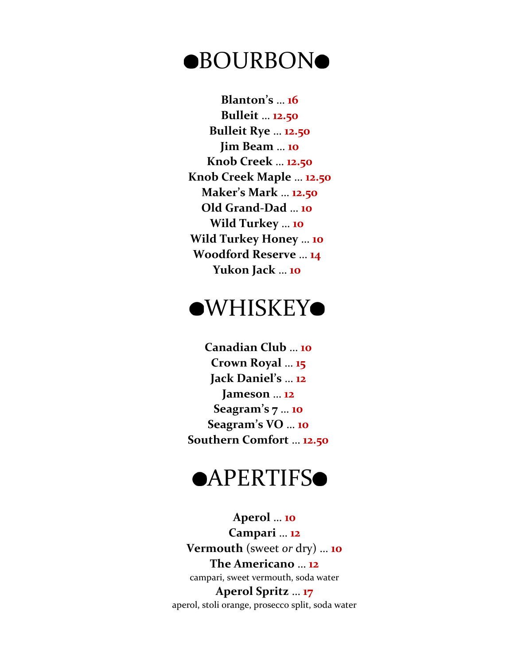# **OBOURBONO**

 **Blanton's** … **16 Bulleit** … **12.50 Bulleit Rye** … **12.50 Jim Beam** … **10 Knob Creek** … **12.50 Knob Creek Maple** … **12.50 Maker's Mark** … **12.50 Old Grand-Dad** … **10 Wild Turkey** … **10 Wild Turkey Honey** … **10 Woodford Reserve** … **14 Yukon Jack** … **10**

# **OWHISKEYO**

**Canadian Club** … **10 Crown Royal** … **15 Jack Daniel's** … **12 Jameson** … **12 Seagram's 7** … **10 Seagram's VO** … **10 Southern Comfort** … **12.50**

# **OAPERTIFS**

**Aperol** … **10 Campari** … **12 Vermouth** (sweet *or* dry) … **10 The Americano** … **12** campari, sweet vermouth, soda water

**Aperol Spritz** … **17** aperol, stoli orange, prosecco split, soda water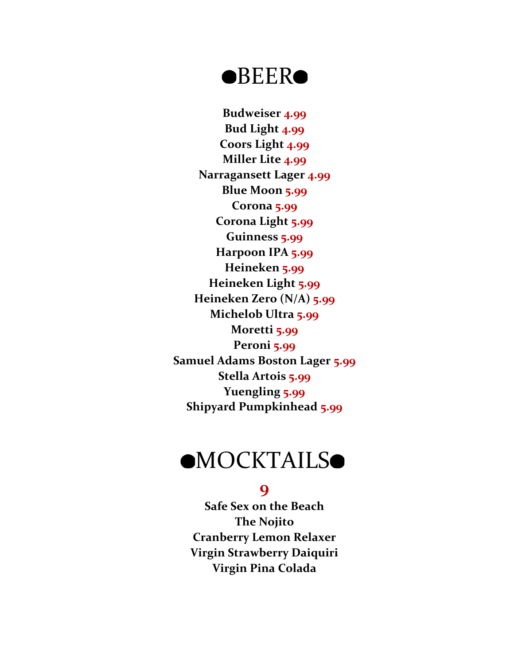# **OBEERO**

**Budweiser 4.99 Bud Light 4.99 Coors Light 4.99 Miller Lite 4.99 Narragansett Lager 4.99 Blue Moon 5.99 Corona 5.99 Corona Light 5.99 Guinness 5.99 Harpoon IPA 5.99 Heineken 5.99 Heineken Light 5.99 Heineken Zero (N/A) 5.99 Michelob Ultra 5.99 Moretti 5.99 Peroni 5.99 Samuel Adams Boston Lager 5.99 Stella Artois 5.99 Yuengling 5.99 Shipyard Pumpkinhead 5.99**

# **OMOCKTAILSO**

# **9**

**Safe Sex on the Beach The Nojito Cranberry Lemon Relaxer Virgin Strawberry Daiquiri Virgin Pina Colada**